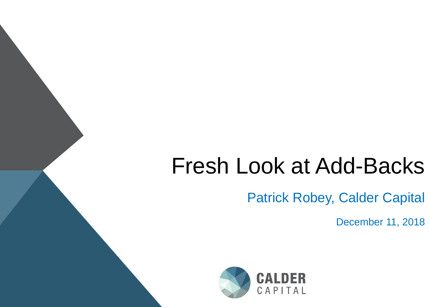# Fresh Look at Add-Backs

Patrick Robey, Calder Capital

December 11, 2018

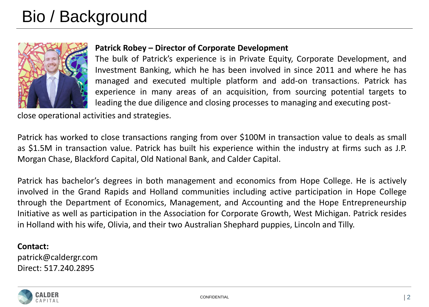## Bio / Background



#### **Patrick Robey – Director of Corporate Development**

The bulk of Patrick's experience is in Private Equity, Corporate Development, and Investment Banking, which he has been involved in since 2011 and where he has managed and executed multiple platform and add-on transactions. Patrick has experience in many areas of an acquisition, from sourcing potential targets to leading the due diligence and closing processes to managing and executing post-

close operational activities and strategies.

Patrick has worked to close transactions ranging from over \$100M in transaction value to deals as small as \$1.5M in transaction value. Patrick has built his experience within the industry at firms such as J.P. Morgan Chase, Blackford Capital, Old National Bank, and Calder Capital.

Patrick has bachelor's degrees in both management and economics from Hope College. He is actively involved in the Grand Rapids and Holland communities including active participation in Hope College through the Department of Economics, Management, and Accounting and the Hope Entrepreneurship Initiative as well as participation in the Association for Corporate Growth, West Michigan. Patrick resides in Holland with his wife, Olivia, and their two Australian Shephard puppies, Lincoln and Tilly.

#### **Contact:**

patrick@caldergr.com Direct: 517.240.2895

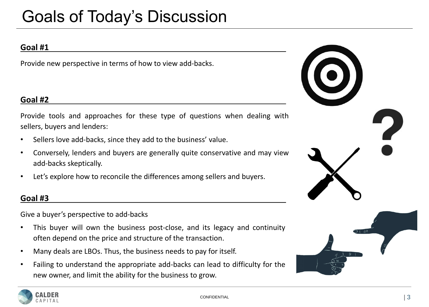### Goals of Today's Discussion

#### **Goal #1**

Provide new perspective in terms of how to view add-backs.

#### **Goal #2**

Provide tools and approaches for these type of questions when dealing with sellers, buyers and lenders:

- Sellers love add-backs, since they add to the business' value.
- Conversely, lenders and buyers are generally quite conservative and may view add-backs skeptically.
- Let's explore how to reconcile the differences among sellers and buyers.

#### **Goal #3**

Give a buyer's perspective to add-backs

- This buyer will own the business post-close, and its legacy and continuity often depend on the price and structure of the transaction.
- Many deals are LBOs. Thus, the business needs to pay for itself.
- Failing to understand the appropriate add-backs can lead to difficulty for the new owner, and limit the ability for the business to grow.





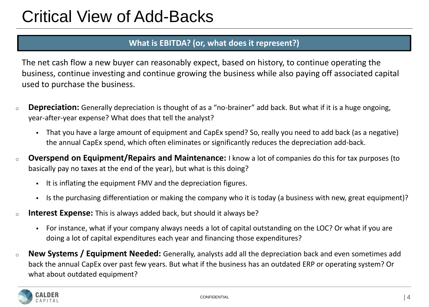#### **What is EBITDA? (or, what does it represent?)**

The net cash flow a new buyer can reasonably expect, based on history, to continue operating the business, continue investing and continue growing the business while also paying off associated capital used to purchase the business.

- <sup>o</sup> **Depreciation:** Generally depreciation is thought of as a "no-brainer" add back. But what if it is a huge ongoing, year-after-year expense? What does that tell the analyst?
	- That you have a large amount of equipment and CapEx spend? So, really you need to add back (as a negative) the annual CapEx spend, which often eliminates or significantly reduces the depreciation add-back.
- <sup>o</sup> **Overspend on Equipment/Repairs and Maintenance:** I know a lot of companies do this for tax purposes (to basically pay no taxes at the end of the year), but what is this doing?
	- It is inflating the equipment FMV and the depreciation figures.
	- Is the purchasing differentiation or making the company who it is today (a business with new, great equipment)?
- <sup>o</sup> **Interest Expense:** This is always added back, but should it always be?
	- For instance, what if your company always needs a lot of capital outstanding on the LOC? Or what if you are doing a lot of capital expenditures each year and financing those expenditures?
- <sup>o</sup> **New Systems / Equipment Needed:** Generally, analysts add all the depreciation back and even sometimes add back the annual CapEx over past few years. But what if the business has an outdated ERP or operating system? Or what about outdated equipment?

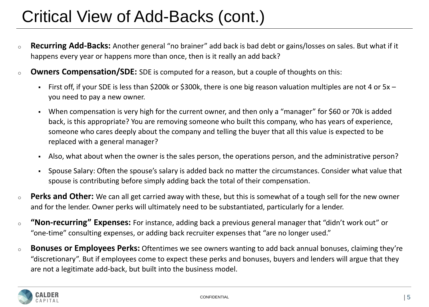# Critical View of Add-Backs (cont.)

- <sup>o</sup> **Recurring Add-Backs:** Another general "no brainer" add back is bad debt or gains/losses on sales. But what if it happens every year or happens more than once, then is it really an add back?
- <sup>o</sup> **Owners Compensation/SDE:** SDE is computed for a reason, but a couple of thoughts on this:
	- First off, if your SDE is less than \$200k or \$300k, there is one big reason valuation multiples are not 4 or 5x you need to pay a new owner.
	- When compensation is very high for the current owner, and then only a "manager" for \$60 or 70k is added back, is this appropriate? You are removing someone who built this company, who has years of experience, someone who cares deeply about the company and telling the buyer that all this value is expected to be replaced with a general manager?
	- Also, what about when the owner is the sales person, the operations person, and the administrative person?
	- Spouse Salary: Often the spouse's salary is added back no matter the circumstances. Consider what value that spouse is contributing before simply adding back the total of their compensation.
- <sup>o</sup> **Perks and Other:** We can all get carried away with these, but this is somewhat of a tough sell for the new owner and for the lender. Owner perks will ultimately need to be substantiated, particularly for a lender.
- <sup>o</sup> **"Non-recurring" Expenses:** For instance, adding back a previous general manager that "didn't work out" or "one-time" consulting expenses, or adding back recruiter expenses that "are no longer used."
- <sup>o</sup> **Bonuses or Employees Perks:** Oftentimes we see owners wanting to add back annual bonuses, claiming they're "discretionary". But if employees come to expect these perks and bonuses, buyers and lenders will argue that they are not a legitimate add-back, but built into the business model.

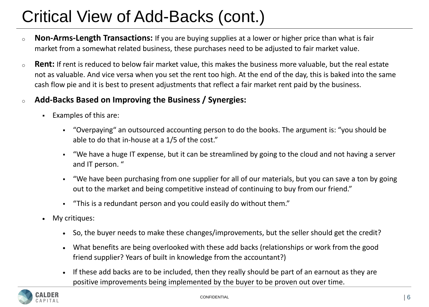# Critical View of Add-Backs (cont.)

- <sup>o</sup> **Non-Arms-Length Transactions:** If you are buying supplies at a lower or higher price than what is fair market from a somewhat related business, these purchases need to be adjusted to fair market value.
- <sup>o</sup> **Rent:** If rent is reduced to below fair market value, this makes the business more valuable, but the real estate not as valuable. And vice versa when you set the rent too high. At the end of the day, this is baked into the same cash flow pie and it is best to present adjustments that reflect a fair market rent paid by the business.
- <sup>o</sup> **Add-Backs Based on Improving the Business / Synergies:**
	- Examples of this are:
		- "Overpaying" an outsourced accounting person to do the books. The argument is: "you should be able to do that in-house at a 1/5 of the cost."
		- "We have a huge IT expense, but it can be streamlined by going to the cloud and not having a server and IT person. "
		- "We have been purchasing from one supplier for all of our materials, but you can save a ton by going out to the market and being competitive instead of continuing to buy from our friend."
		- "This is a redundant person and you could easily do without them."
	- My critiques:
		- So, the buyer needs to make these changes/improvements, but the seller should get the credit?
		- What benefits are being overlooked with these add backs (relationships or work from the good friend supplier? Years of built in knowledge from the accountant?)
		- If these add backs are to be included, then they really should be part of an earnout as they are positive improvements being implemented by the buyer to be proven out over time.

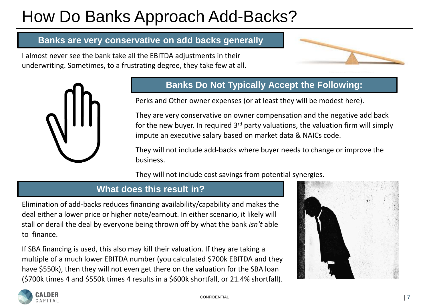# How Do Banks Approach Add-Backs?

### **Banks are very conservative on add backs generally**

I almost never see the bank take all the EBITDA adjustments in their underwriting. Sometimes, to a frustrating degree, they take few at all.





### **Banks Do Not Typically Accept the Following:**

Perks and Other owner expenses (or at least they will be modest here).

They are very conservative on owner compensation and the negative add back for the new buyer. In required  $3<sup>rd</sup>$  party valuations, the valuation firm will simply impute an executive salary based on market data & NAICs code.

They will not include add-backs where buyer needs to change or improve the business.

They will not include cost savings from potential synergies.

### **What does this result in?**

Elimination of add-backs reduces financing availability/capability and makes the deal either a lower price or higher note/earnout. In either scenario, it likely will stall or derail the deal by everyone being thrown off by what the bank *isn't* able to finance.

If SBA financing is used, this also may kill their valuation. If they are taking a multiple of a much lower EBITDA number (you calculated \$700k EBITDA and they have \$550k), then they will not even get there on the valuation for the SBA loan (\$700k times 4 and \$550k times 4 results in a \$600k shortfall, or 21.4% shortfall).